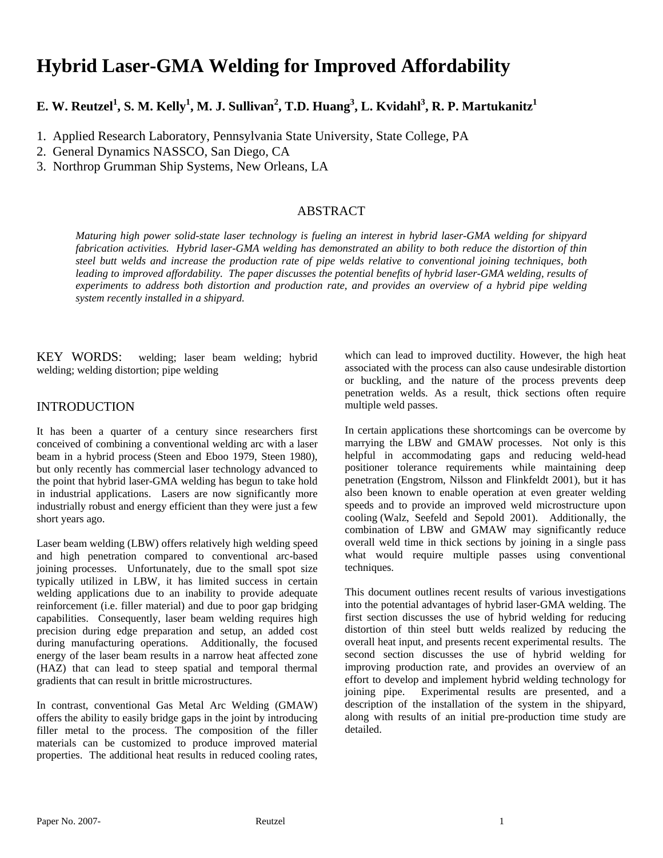# **Hybrid Laser-GMA Welding for Improved Affordability**

# $\mathbf{E.}\ \mathbf{W.}\ \mathbf{Reutzel}^1,\mathbf{S.}\ \mathbf{M.}\ \mathbf{Kelly}^1,\mathbf{M.}\ \mathbf{J.}\ \mathbf{Sullivan}^2,\mathbf{T.}\mathbf{D.}\ \mathbf{Huang}^3,\mathbf{L.}\ \mathbf{Kvidahl}^3,\mathbf{R.}\ \mathbf{P.}\ \mathbf{Martukanitz}^1$

1. Applied Research Laboratory, Pennsylvania State University, State College, PA

2. General Dynamics NASSCO, San Diego, CA

3. Northrop Grumman Ship Systems, New Orleans, LA

# ABSTRACT

*Maturing high power solid-state laser technology is fueling an interest in hybrid laser-GMA welding for shipyard fabrication activities. Hybrid laser-GMA welding has demonstrated an ability to both reduce the distortion of thin steel butt welds and increase the production rate of pipe welds relative to conventional joining techniques, both*  leading to improved affordability. The paper discusses the potential benefits of hybrid laser-GMA welding, results of *experiments to address both distortion and production rate, and provides an overview of a hybrid pipe welding system recently installed in a shipyard.* 

KEY WORDS: welding; laser beam welding; hybrid welding; welding distortion; pipe welding

#### INTRODUCTION

It has been a quarter of a century since researchers first conceived of combining a conventional welding arc with a laser beam in a hybrid process (Steen and Eboo 1979, Steen 1980), but only recently has commercial laser technology advanced to the point that hybrid laser-GMA welding has begun to take hold in industrial applications. Lasers are now significantly more industrially robust and energy efficient than they were just a few short years ago.

Laser beam welding (LBW) offers relatively high welding speed and high penetration compared to conventional arc-based joining processes. Unfortunately, due to the small spot size typically utilized in LBW, it has limited success in certain welding applications due to an inability to provide adequate reinforcement (i.e. filler material) and due to poor gap bridging capabilities. Consequently, laser beam welding requires high precision during edge preparation and setup, an added cost during manufacturing operations. Additionally, the focused energy of the laser beam results in a narrow heat affected zone (HAZ) that can lead to steep spatial and temporal thermal gradients that can result in brittle microstructures.

In contrast, conventional Gas Metal Arc Welding (GMAW) offers the ability to easily bridge gaps in the joint by introducing filler metal to the process. The composition of the filler materials can be customized to produce improved material properties. The additional heat results in reduced cooling rates,

which can lead to improved ductility. However, the high heat associated with the process can also cause undesirable distortion or buckling, and the nature of the process prevents deep penetration welds. As a result, thick sections often require multiple weld passes.

In certain applications these shortcomings can be overcome by marrying the LBW and GMAW processes. Not only is this helpful in accommodating gaps and reducing weld-head positioner tolerance requirements while maintaining deep penetration (Engstrom, Nilsson and Flinkfeldt 2001), but it has also been known to enable operation at even greater welding speeds and to provide an improved weld microstructure upon cooling (Walz, Seefeld and Sepold 2001). Additionally, the combination of LBW and GMAW may significantly reduce overall weld time in thick sections by joining in a single pass what would require multiple passes using conventional techniques.

This document outlines recent results of various investigations into the potential advantages of hybrid laser-GMA welding. The first section discusses the use of hybrid welding for reducing distortion of thin steel butt welds realized by reducing the overall heat input, and presents recent experimental results. The second section discusses the use of hybrid welding for improving production rate, and provides an overview of an effort to develop and implement hybrid welding technology for joining pipe. Experimental results are presented, and a description of the installation of the system in the shipyard, along with results of an initial pre-production time study are detailed.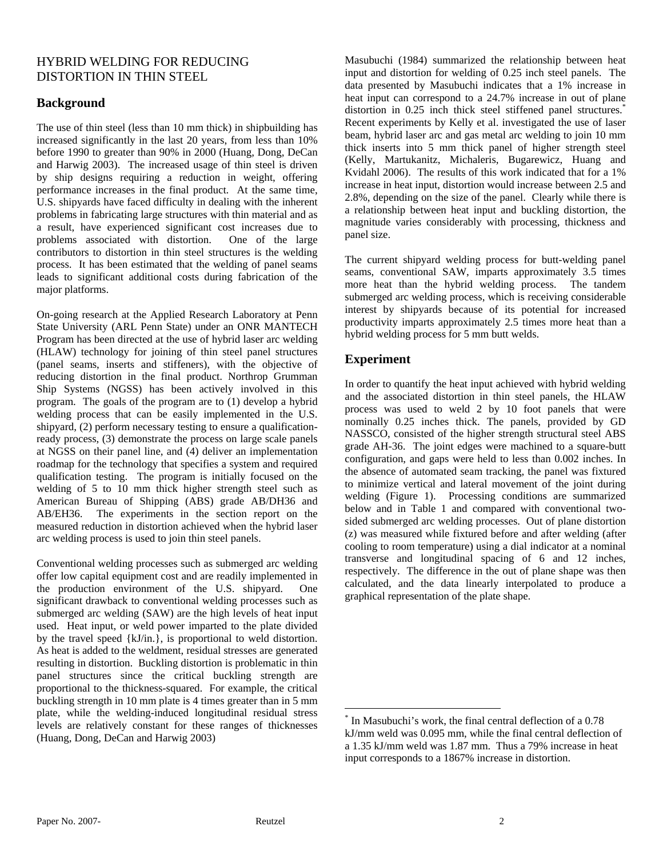# HYBRID WELDING FOR REDUCING DISTORTION IN THIN STEEL

# **Background**

The use of thin steel (less than 10 mm thick) in shipbuilding has increased significantly in the last 20 years, from less than 10% before 1990 to greater than 90% in 2000 (Huang, Dong, DeCan and Harwig 2003). The increased usage of thin steel is driven by ship designs requiring a reduction in weight, offering performance increases in the final product. At the same time, U.S. shipyards have faced difficulty in dealing with the inherent problems in fabricating large structures with thin material and as a result, have experienced significant cost increases due to problems associated with distortion. One of the large contributors to distortion in thin steel structures is the welding process. It has been estimated that the welding of panel seams leads to significant additional costs during fabrication of the major platforms.

On-going research at the Applied Research Laboratory at Penn State University (ARL Penn State) under an ONR MANTECH Program has been directed at the use of hybrid laser arc welding (HLAW) technology for joining of thin steel panel structures (panel seams, inserts and stiffeners), with the objective of reducing distortion in the final product. Northrop Grumman Ship Systems (NGSS) has been actively involved in this program. The goals of the program are to (1) develop a hybrid welding process that can be easily implemented in the U.S. shipyard, (2) perform necessary testing to ensure a qualificationready process, (3) demonstrate the process on large scale panels at NGSS on their panel line, and (4) deliver an implementation roadmap for the technology that specifies a system and required qualification testing. The program is initially focused on the welding of 5 to 10 mm thick higher strength steel such as American Bureau of Shipping (ABS) grade AB/DH36 and AB/EH36. The experiments in the section report on the measured reduction in distortion achieved when the hybrid laser arc welding process is used to join thin steel panels.

Conventional welding processes such as submerged arc welding offer low capital equipment cost and are readily implemented in the production environment of the U.S. shipyard. One significant drawback to conventional welding processes such as submerged arc welding (SAW) are the high levels of heat input used. Heat input, or weld power imparted to the plate divided by the travel speed {kJ/in.}, is proportional to weld distortion. As heat is added to the weldment, residual stresses are generated resulting in distortion. Buckling distortion is problematic in thin panel structures since the critical buckling strength are proportional to the thickness-squared. For example, the critical buckling strength in 10 mm plate is 4 times greater than in 5 mm plate, while the welding-induced longitudinal residual stress levels are relatively constant for these ranges of thicknesses (Huang, Dong, DeCan and Harwig 2003)

Masubuchi (1984) summarized the relationship between heat input and distortion for welding of 0.25 inch steel panels. The data presented by Masubuchi indicates that a 1% increase in heat input can correspond to a 24.7% increase in out of plane distortion in 0.25 inch thick steel stiffened panel structures.<sup>\*</sup> Recent experiments by Kelly et al. investigated the use of laser beam, hybrid laser arc and gas metal arc welding to join 10 mm thick inserts into 5 mm thick panel of higher strength steel (Kelly, Martukanitz, Michaleris, Bugarewicz, Huang and Kvidahl 2006). The results of this work indicated that for a 1% increase in heat input, distortion would increase between 2.5 and 2.8%, depending on the size of the panel. Clearly while there is a relationship between heat input and buckling distortion, the magnitude varies considerably with processing, thickness and panel size.

The current shipyard welding process for butt-welding panel seams, conventional SAW, imparts approximately 3.5 times more heat than the hybrid welding process. The tandem submerged arc welding process, which is receiving considerable interest by shipyards because of its potential for increased productivity imparts approximately 2.5 times more heat than a hybrid welding process for 5 mm butt welds.

# **Experiment**

In order to quantify the heat input achieved with hybrid welding and the associated distortion in thin steel panels, the HLAW process was used to weld 2 by 10 foot panels that were nominally 0.25 inches thick. The panels, provided by GD NASSCO, consisted of the higher strength structural steel ABS grade AH-36. The joint edges were machined to a square-butt configuration, and gaps were held to less than 0.002 inches. In the absence of automated seam tracking, the panel was fixtured to minimize vertical and lateral movement of the joint during welding (Figure 1). Processing conditions are summarized below and in Table 1 and compared with conventional twosided submerged arc welding processes. Out of plane distortion (z) was measured while fixtured before and after welding (after cooling to room temperature) using a dial indicator at a nominal transverse and longitudinal spacing of 6 and 12 inches, respectively. The difference in the out of plane shape was then calculated, and the data linearly interpolated to produce a graphical representation of the plate shape.

 $\overline{a}$ 

<sup>\*</sup> In Masubuchi's work, the final central deflection of a 0.78 kJ/mm weld was 0.095 mm, while the final central deflection of a 1.35 kJ/mm weld was 1.87 mm. Thus a 79% increase in heat input corresponds to a 1867% increase in distortion.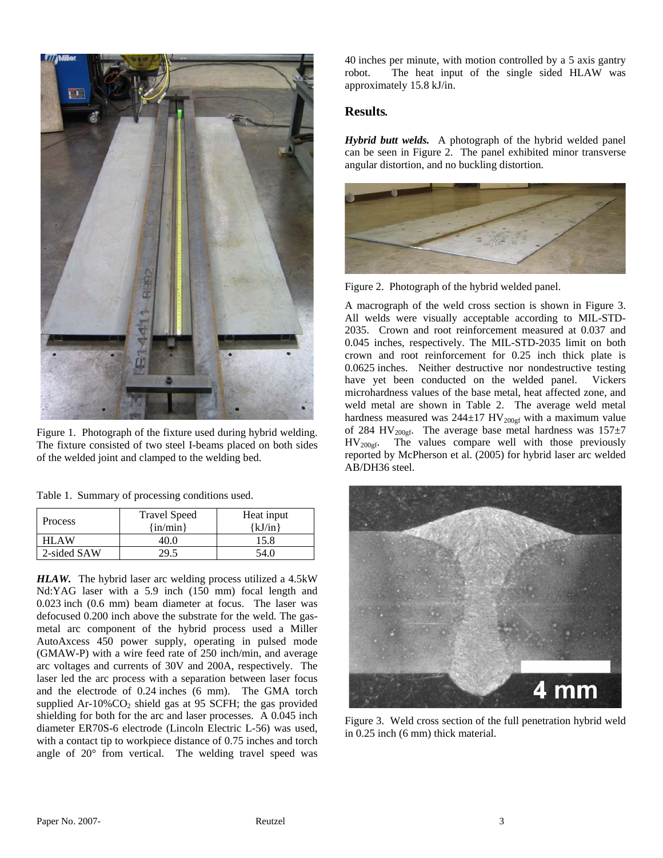

Figure 1. Photograph of the fixture used during hybrid welding. The fixture consisted of two steel I-beams placed on both sides of the welded joint and clamped to the welding bed.

|  |  | Table 1. Summary of processing conditions used. |  |
|--|--|-------------------------------------------------|--|
|  |  |                                                 |  |

| Process     | <b>Travel Speed</b><br>$\{in/min\}$ | Heat input<br>{kJ/in} |  |
|-------------|-------------------------------------|-----------------------|--|
| HLAW        | 40.O                                | 15.8                  |  |
| 2-sided SAW |                                     | 54 O                  |  |

*HLAW.* The hybrid laser arc welding process utilized a 4.5kW Nd:YAG laser with a 5.9 inch (150 mm) focal length and 0.023 inch (0.6 mm) beam diameter at focus. The laser was defocused 0.200 inch above the substrate for the weld. The gasmetal arc component of the hybrid process used a Miller AutoAxcess 450 power supply, operating in pulsed mode (GMAW-P) with a wire feed rate of 250 inch/min, and average arc voltages and currents of 30V and 200A, respectively. The laser led the arc process with a separation between laser focus and the electrode of 0.24 inches (6 mm). The GMA torch supplied Ar-10% $CO<sub>2</sub>$  shield gas at 95 SCFH; the gas provided shielding for both for the arc and laser processes. A 0.045 inch diameter ER70S-6 electrode (Lincoln Electric L-56) was used, with a contact tip to workpiece distance of 0.75 inches and torch angle of 20° from vertical. The welding travel speed was 40 inches per minute, with motion controlled by a 5 axis gantry robot. The heat input of the single sided HLAW was approximately 15.8 kJ/in.

#### **Results***.*

*Hybrid butt welds.*A photograph of the hybrid welded panel can be seen in Figure 2. The panel exhibited minor transverse angular distortion, and no buckling distortion.



Figure 2. Photograph of the hybrid welded panel.

A macrograph of the weld cross section is shown in Figure 3. All welds were visually acceptable according to MIL-STD-2035. Crown and root reinforcement measured at 0.037 and 0.045 inches, respectively. The MIL-STD-2035 limit on both crown and root reinforcement for 0.25 inch thick plate is 0.0625 inches. Neither destructive nor nondestructive testing have yet been conducted on the welded panel. Vickers microhardness values of the base metal, heat affected zone, and weld metal are shown in Table 2. The average weld metal hardness measured was  $244\pm17$  HV<sub>200gf</sub> with a maximum value of 284 HV<sub>200gf</sub>. The average base metal hardness was  $157\pm7$  $HV_{200gf}$ . The values compare well with those previously reported by McPherson et al. (2005) for hybrid laser arc welded AB/DH36 steel.



Figure 3. Weld cross section of the full penetration hybrid weld in 0.25 inch (6 mm) thick material.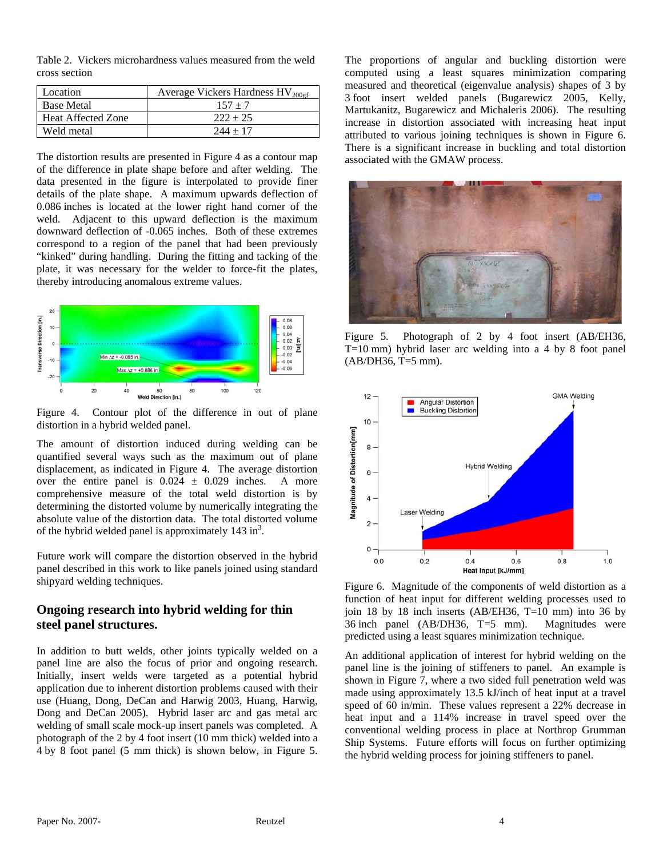Table 2. Vickers microhardness values measured from the weld cross section

| Location                  | Average Vickers Hardness $HV_{200\text{sf}}$ |  |  |
|---------------------------|----------------------------------------------|--|--|
| <b>Base Metal</b>         | $157 + 7$                                    |  |  |
| <b>Heat Affected Zone</b> | $222 + 25$                                   |  |  |
| Weld metal                | $244 + 17$                                   |  |  |

The distortion results are presented in Figure 4 as a contour map of the difference in plate shape before and after welding. The data presented in the figure is interpolated to provide finer details of the plate shape. A maximum upwards deflection of 0.086 inches is located at the lower right hand corner of the weld. Adjacent to this upward deflection is the maximum downward deflection of -0.065 inches. Both of these extremes correspond to a region of the panel that had been previously "kinked" during handling. During the fitting and tacking of the plate, it was necessary for the welder to force-fit the plates, thereby introducing anomalous extreme values.



Figure 4. Contour plot of the difference in out of plane distortion in a hybrid welded panel.

The amount of distortion induced during welding can be quantified several ways such as the maximum out of plane displacement, as indicated in Figure 4. The average distortion over the entire panel is  $0.024 \pm 0.029$  inches. A more comprehensive measure of the total weld distortion is by determining the distorted volume by numerically integrating the absolute value of the distortion data. The total distorted volume of the hybrid welded panel is approximately  $143 \text{ in}^3$ .

Future work will compare the distortion observed in the hybrid panel described in this work to like panels joined using standard shipyard welding techniques.

# **Ongoing research into hybrid welding for thin steel panel structures.**

In addition to butt welds, other joints typically welded on a panel line are also the focus of prior and ongoing research. Initially, insert welds were targeted as a potential hybrid application due to inherent distortion problems caused with their use (Huang, Dong, DeCan and Harwig 2003, Huang, Harwig, Dong and DeCan 2005). Hybrid laser arc and gas metal arc welding of small scale mock-up insert panels was completed. A photograph of the 2 by 4 foot insert (10 mm thick) welded into a 4 by 8 foot panel (5 mm thick) is shown below, in Figure 5. The proportions of angular and buckling distortion were computed using a least squares minimization comparing measured and theoretical (eigenvalue analysis) shapes of 3 by 3 foot insert welded panels (Bugarewicz 2005, Kelly, Martukanitz, Bugarewicz and Michaleris 2006). The resulting increase in distortion associated with increasing heat input attributed to various joining techniques is shown in Figure 6. There is a significant increase in buckling and total distortion associated with the GMAW process.



Figure 5. Photograph of 2 by 4 foot insert (AB/EH36, T=10 mm) hybrid laser arc welding into a 4 by 8 foot panel (AB/DH36, T=5 mm).



Figure 6. Magnitude of the components of weld distortion as a function of heat input for different welding processes used to join 18 by 18 inch inserts  $(AB/EH36, T=10 \text{ mm})$  into 36 by 36 inch panel (AB/DH36, T=5 mm). Magnitudes were predicted using a least squares minimization technique.

An additional application of interest for hybrid welding on the panel line is the joining of stiffeners to panel. An example is shown in Figure 7, where a two sided full penetration weld was made using approximately 13.5 kJ/inch of heat input at a travel speed of 60 in/min. These values represent a 22% decrease in heat input and a 114% increase in travel speed over the conventional welding process in place at Northrop Grumman Ship Systems. Future efforts will focus on further optimizing the hybrid welding process for joining stiffeners to panel.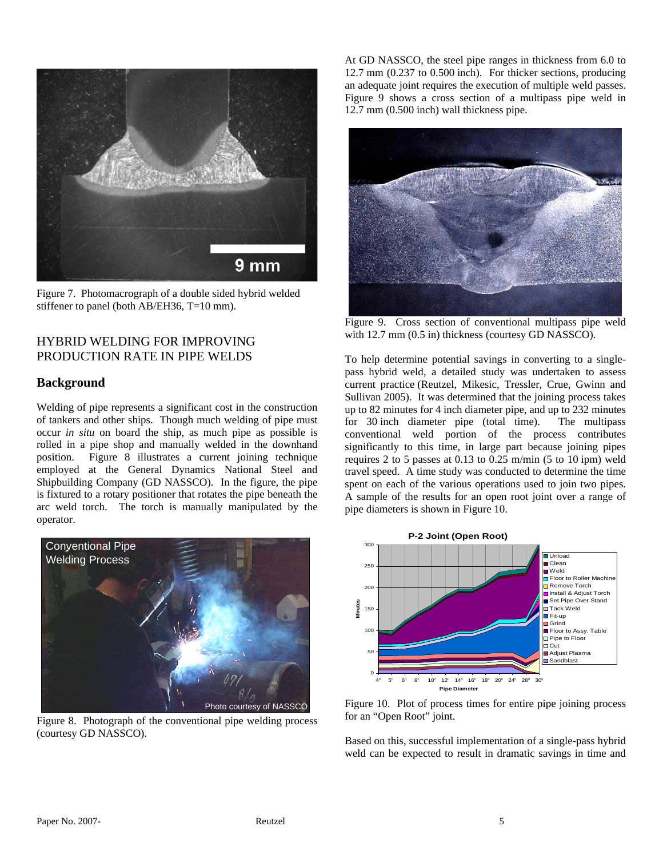

Figure 7. Photomacrograph of a double sided hybrid welded stiffener to panel (both AB/EH36, T=10 mm).

#### HYBRID WELDING FOR IMPROVING PRODUCTION RATE IN PIPE WELDS

#### **Background**

Welding of pipe represents a significant cost in the construction of tankers and other ships. Though much welding of pipe must occur *in situ* on board the ship, as much pipe as possible is rolled in a pipe shop and manually welded in the downhand position. Figure 8 illustrates a current joining technique employed at the General Dynamics National Steel and Shipbuilding Company (GD NASSCO). In the figure, the pipe is fixtured to a rotary positioner that rotates the pipe beneath the arc weld torch. The torch is manually manipulated by the operator.



Figure 8. Photograph of the conventional pipe welding process (courtesy GD NASSCO).

At GD NASSCO, the steel pipe ranges in thickness from 6.0 to 12.7 mm (0.237 to 0.500 inch). For thicker sections, producing an adequate joint requires the execution of multiple weld passes. Figure 9 shows a cross section of a multipass pipe weld in 12.7 mm (0.500 inch) wall thickness pipe.



Figure 9. Cross section of conventional multipass pipe weld with 12.7 mm (0.5 in) thickness (courtesy GD NASSCO).

To help determine potential savings in converting to a singlepass hybrid weld, a detailed study was undertaken to assess current practice (Reutzel, Mikesic, Tressler, Crue, Gwinn and Sullivan 2005). It was determined that the joining process takes up to 82 minutes for 4 inch diameter pipe, and up to 232 minutes for 30 inch diameter pipe (total time). The multipass conventional weld portion of the process contributes significantly to this time, in large part because joining pipes requires 2 to 5 passes at 0.13 to 0.25 m/min (5 to 10 ipm) weld travel speed. A time study was conducted to determine the time spent on each of the various operations used to join two pipes. A sample of the results for an open root joint over a range of pipe diameters is shown in Figure 10.



Figure 10. Plot of process times for entire pipe joining process for an "Open Root" joint.

Based on this, successful implementation of a single-pass hybrid weld can be expected to result in dramatic savings in time and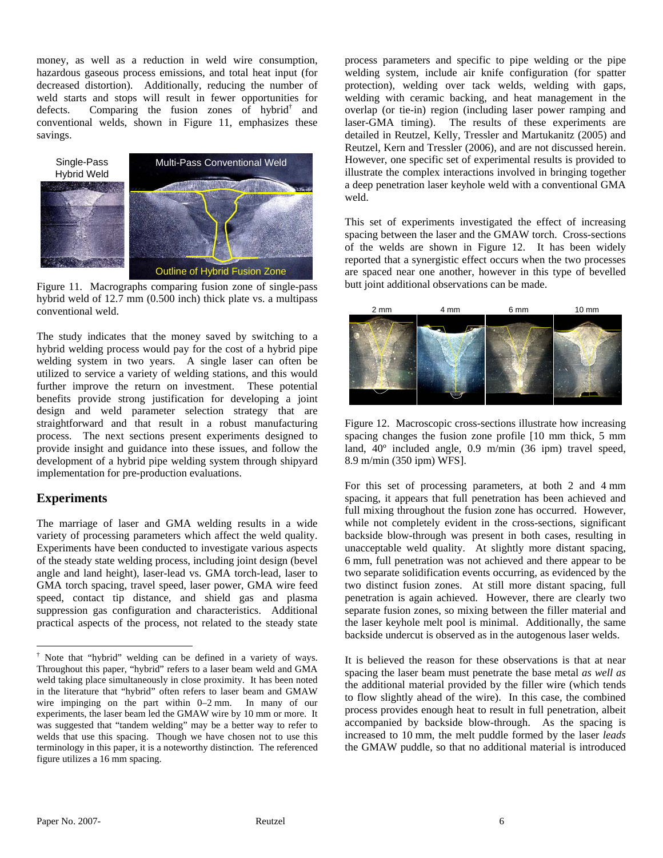money, as well as a reduction in weld wire consumption, hazardous gaseous process emissions, and total heat input (for decreased distortion). Additionally, reducing the number of weld starts and stops will result in fewer opportunities for defects. Comparing the fusion zones of hybrid<sup>†</sup> and conventional welds, shown in Figure 11, emphasizes these savings.



Figure 11. Macrographs comparing fusion zone of single-pass hybrid weld of 12.7 mm (0.500 inch) thick plate vs. a multipass conventional weld.

The study indicates that the money saved by switching to a hybrid welding process would pay for the cost of a hybrid pipe welding system in two years. A single laser can often be utilized to service a variety of welding stations, and this would further improve the return on investment. These potential benefits provide strong justification for developing a joint design and weld parameter selection strategy that are straightforward and that result in a robust manufacturing process. The next sections present experiments designed to provide insight and guidance into these issues, and follow the development of a hybrid pipe welding system through shipyard implementation for pre-production evaluations.

#### **Experiments**

 $\overline{a}$ 

The marriage of laser and GMA welding results in a wide variety of processing parameters which affect the weld quality. Experiments have been conducted to investigate various aspects of the steady state welding process, including joint design (bevel angle and land height), laser-lead vs. GMA torch-lead, laser to GMA torch spacing, travel speed, laser power, GMA wire feed speed, contact tip distance, and shield gas and plasma suppression gas configuration and characteristics. Additional practical aspects of the process, not related to the steady state

process parameters and specific to pipe welding or the pipe welding system, include air knife configuration (for spatter protection), welding over tack welds, welding with gaps, welding with ceramic backing, and heat management in the overlap (or tie-in) region (including laser power ramping and laser-GMA timing). The results of these experiments are detailed in Reutzel, Kelly, Tressler and Martukanitz (2005) and Reutzel, Kern and Tressler (2006), and are not discussed herein. However, one specific set of experimental results is provided to illustrate the complex interactions involved in bringing together a deep penetration laser keyhole weld with a conventional GMA weld.

This set of experiments investigated the effect of increasing spacing between the laser and the GMAW torch. Cross-sections of the welds are shown in Figure 12. It has been widely reported that a synergistic effect occurs when the two processes are spaced near one another, however in this type of bevelled butt joint additional observations can be made.



Figure 12. Macroscopic cross-sections illustrate how increasing spacing changes the fusion zone profile [10 mm thick, 5 mm land, 40º included angle, 0.9 m/min (36 ipm) travel speed, 8.9 m/min (350 ipm) WFS].

For this set of processing parameters, at both 2 and 4 mm spacing, it appears that full penetration has been achieved and full mixing throughout the fusion zone has occurred. However, while not completely evident in the cross-sections, significant backside blow-through was present in both cases, resulting in unacceptable weld quality. At slightly more distant spacing, 6 mm, full penetration was not achieved and there appear to be two separate solidification events occurring, as evidenced by the two distinct fusion zones. At still more distant spacing, full penetration is again achieved. However, there are clearly two separate fusion zones, so mixing between the filler material and the laser keyhole melt pool is minimal. Additionally, the same backside undercut is observed as in the autogenous laser welds.

It is believed the reason for these observations is that at near spacing the laser beam must penetrate the base metal *as well as* the additional material provided by the filler wire (which tends to flow slightly ahead of the wire). In this case, the combined process provides enough heat to result in full penetration, albeit accompanied by backside blow-through. As the spacing is increased to 10 mm, the melt puddle formed by the laser *leads* the GMAW puddle, so that no additional material is introduced

<sup>†</sup> Note that "hybrid" welding can be defined in a variety of ways. Throughout this paper, "hybrid" refers to a laser beam weld and GMA weld taking place simultaneously in close proximity. It has been noted in the literature that "hybrid" often refers to laser beam and GMAW wire impinging on the part within 0–2 mm. In many of our experiments, the laser beam led the GMAW wire by 10 mm or more. It was suggested that "tandem welding" may be a better way to refer to welds that use this spacing. Though we have chosen not to use this terminology in this paper, it is a noteworthy distinction. The referenced figure utilizes a 16 mm spacing.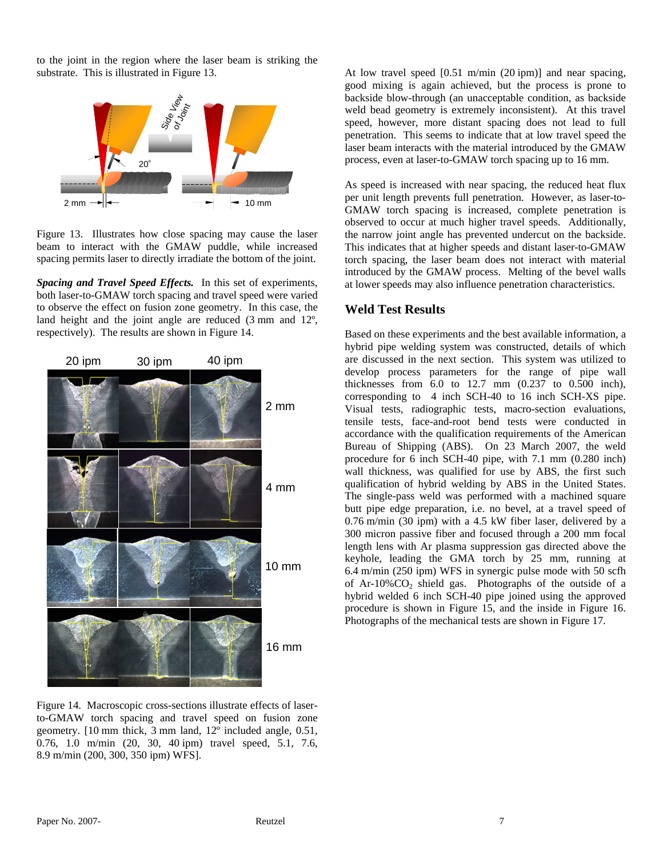to the joint in the region where the laser beam is striking the substrate. This is illustrated in Figure 13.





*Spacing and Travel Speed Effects.* In this set of experiments, both laser-to-GMAW torch spacing and travel speed were varied to observe the effect on fusion zone geometry. In this case, the land height and the joint angle are reduced (3 mm and 12º, respectively). The results are shown in Figure 14.



Figure 14. Macroscopic cross-sections illustrate effects of laserto-GMAW torch spacing and travel speed on fusion zone geometry. [10 mm thick, 3 mm land, 12º included angle, 0.51, 0.76, 1.0 m/min (20, 30, 40 ipm) travel speed, 5.1, 7.6, 8.9 m/min (200, 300, 350 ipm) WFS].

At low travel speed [0.51 m/min (20 ipm)] and near spacing, good mixing is again achieved, but the process is prone to backside blow-through (an unacceptable condition, as backside weld bead geometry is extremely inconsistent). At this travel speed, however, more distant spacing does not lead to full penetration. This seems to indicate that at low travel speed the laser beam interacts with the material introduced by the GMAW process, even at laser-to-GMAW torch spacing up to 16 mm.

As speed is increased with near spacing, the reduced heat flux per unit length prevents full penetration. However, as laser-to-GMAW torch spacing is increased, complete penetration is observed to occur at much higher travel speeds. Additionally, the narrow joint angle has prevented undercut on the backside. This indicates that at higher speeds and distant laser-to-GMAW torch spacing, the laser beam does not interact with material introduced by the GMAW process. Melting of the bevel walls at lower speeds may also influence penetration characteristics.

#### **Weld Test Results**

Based on these experiments and the best available information, a hybrid pipe welding system was constructed, details of which are discussed in the next section. This system was utilized to develop process parameters for the range of pipe wall thicknesses from 6.0 to 12.7 mm (0.237 to 0.500 inch), corresponding to 4 inch SCH-40 to 16 inch SCH-XS pipe. Visual tests, radiographic tests, macro-section evaluations, tensile tests, face-and-root bend tests were conducted in accordance with the qualification requirements of the American Bureau of Shipping (ABS). On 23 March 2007, the weld procedure for 6 inch SCH-40 pipe, with 7.1 mm (0.280 inch) wall thickness, was qualified for use by ABS, the first such qualification of hybrid welding by ABS in the United States. The single-pass weld was performed with a machined square butt pipe edge preparation, i.e. no bevel, at a travel speed of 0.76 m/min (30 ipm) with a 4.5 kW fiber laser, delivered by a 300 micron passive fiber and focused through a 200 mm focal length lens with Ar plasma suppression gas directed above the keyhole, leading the GMA torch by 25 mm, running at 6.4 m/min (250 ipm) WFS in synergic pulse mode with 50 scfh of Ar-10%CO<sub>2</sub> shield gas. Photographs of the outside of a hybrid welded 6 inch SCH-40 pipe joined using the approved procedure is shown in Figure 15, and the inside in Figure 16. Photographs of the mechanical tests are shown in Figure 17.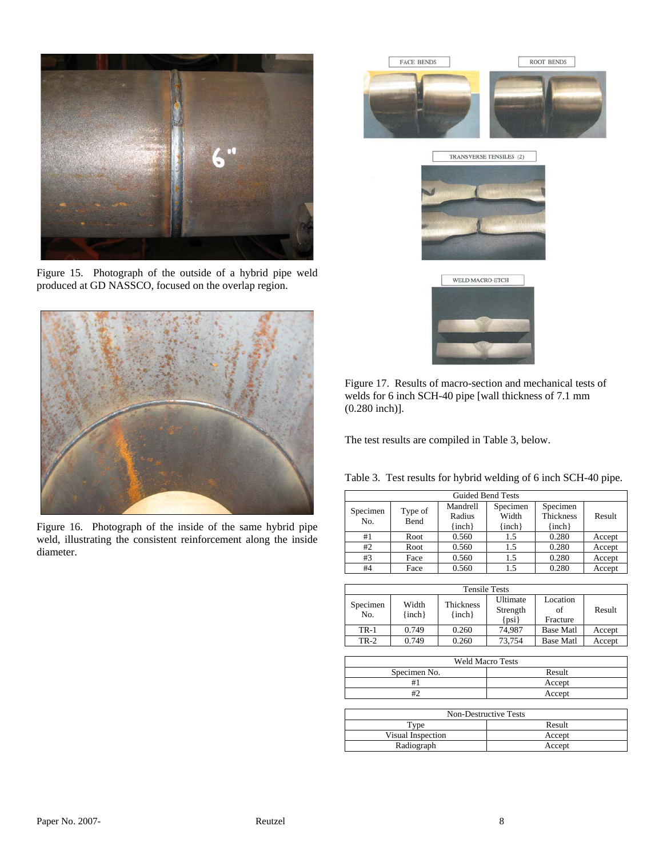

Figure 15. Photograph of the outside of a hybrid pipe weld produced at GD NASSCO, focused on the overlap region.



Figure 16. Photograph of the inside of the same hybrid pipe weld, illustrating the consistent reinforcement along the inside diameter.







Figure 17. Results of macro-section and mechanical tests of welds for 6 inch SCH-40 pipe [wall thickness of 7.1 mm (0.280 inch)].

The test results are compiled in Table 3, below.

| Table 3. Test results for hybrid welding of 6 inch SCH-40 pipe. |  |  |  |  |  |
|-----------------------------------------------------------------|--|--|--|--|--|
|-----------------------------------------------------------------|--|--|--|--|--|

| <b>Guided Bend Tests</b> |                 |                                  |                                 |                                            |        |  |  |
|--------------------------|-----------------|----------------------------------|---------------------------------|--------------------------------------------|--------|--|--|
| Specimen<br>No.          | Type of<br>Bend | Mandrell<br>Radius<br>$\{inch\}$ | Specimen<br>Width<br>$\{inch\}$ | Specimen<br><b>Thickness</b><br>$\{inch\}$ | Result |  |  |
| #1                       | Root            | 0.560                            | 1.5                             | 0.280                                      | Accept |  |  |
| #2                       | Root            | 0.560                            | 1.5                             | 0.280                                      | Accept |  |  |
| #3                       | Face            | 0.560                            | 1.5                             | 0.280                                      | Accept |  |  |
| #4                       | Face            | 0.560                            | 1.5                             | 0.280                                      | Accept |  |  |

| <b>Tensile Tests</b> |                     |                                |                                   |                            |        |  |  |
|----------------------|---------------------|--------------------------------|-----------------------------------|----------------------------|--------|--|--|
| Specimen<br>No.      | Width<br>$\{inch\}$ | <b>Thickness</b><br>$\{inch\}$ | Ultimate<br>Strength<br>$\{psi\}$ | Location<br>of<br>Fracture | Result |  |  |
| <b>TR-1</b>          | 0.749               | 0.260                          | 74.987                            | <b>Base Matl</b>           | Accept |  |  |
| $TR-2$               | 0.749               | 0.260                          | 73.754                            | <b>Base Matl</b>           | Accept |  |  |

| <b>Weld Macro Tests</b> |        |  |  |  |
|-------------------------|--------|--|--|--|
| Specimen No.            | Result |  |  |  |
|                         | Accept |  |  |  |
|                         | Accept |  |  |  |
|                         |        |  |  |  |

| Non-Destructive Tests |        |  |  |  |
|-----------------------|--------|--|--|--|
| $r_{VDE}$             | Result |  |  |  |
| Visual Inspection     | Accept |  |  |  |
| Radiograph            | Accept |  |  |  |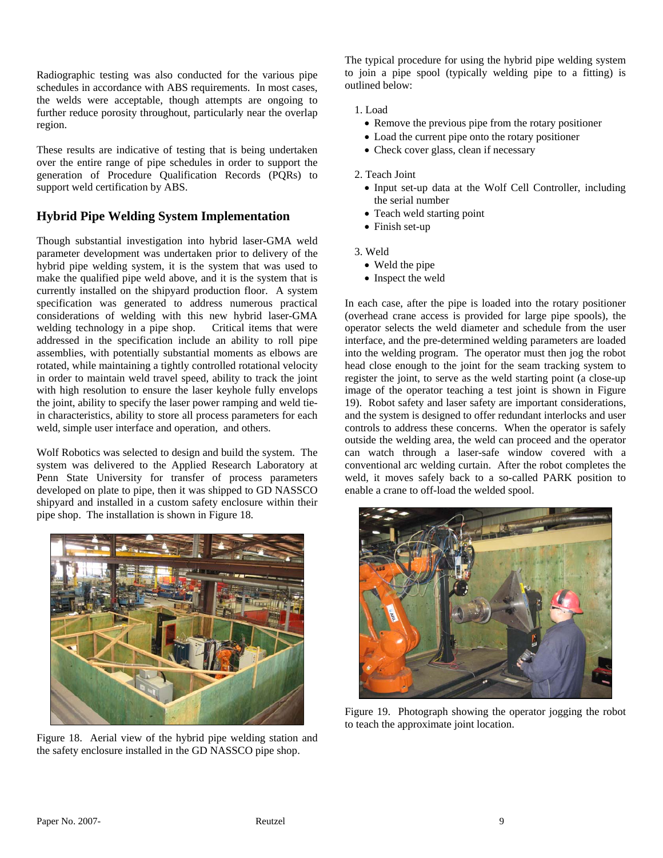Radiographic testing was also conducted for the various pipe schedules in accordance with ABS requirements. In most cases, the welds were acceptable, though attempts are ongoing to further reduce porosity throughout, particularly near the overlap region.

These results are indicative of testing that is being undertaken over the entire range of pipe schedules in order to support the generation of Procedure Qualification Records (PQRs) to support weld certification by ABS.

# **Hybrid Pipe Welding System Implementation**

Though substantial investigation into hybrid laser-GMA weld parameter development was undertaken prior to delivery of the hybrid pipe welding system, it is the system that was used to make the qualified pipe weld above, and it is the system that is currently installed on the shipyard production floor. A system specification was generated to address numerous practical considerations of welding with this new hybrid laser-GMA welding technology in a pipe shop. Critical items that were addressed in the specification include an ability to roll pipe assemblies, with potentially substantial moments as elbows are rotated, while maintaining a tightly controlled rotational velocity in order to maintain weld travel speed, ability to track the joint with high resolution to ensure the laser keyhole fully envelops the joint, ability to specify the laser power ramping and weld tiein characteristics, ability to store all process parameters for each weld, simple user interface and operation, and others.

Wolf Robotics was selected to design and build the system. The system was delivered to the Applied Research Laboratory at Penn State University for transfer of process parameters developed on plate to pipe, then it was shipped to GD NASSCO shipyard and installed in a custom safety enclosure within their pipe shop. The installation is shown in Figure 18.



Figure 18. Aerial view of the hybrid pipe welding station and the safety enclosure installed in the GD NASSCO pipe shop.

The typical procedure for using the hybrid pipe welding system to join a pipe spool (typically welding pipe to a fitting) is outlined below:

1. Load

- Remove the previous pipe from the rotary positioner
- Load the current pipe onto the rotary positioner
- Check cover glass, clean if necessary
- 2. Teach Joint
	- Input set-up data at the Wolf Cell Controller, including the serial number
	- Teach weld starting point
	- Finish set-up
- 3. Weld
	- Weld the pipe
	- Inspect the weld

In each case, after the pipe is loaded into the rotary positioner (overhead crane access is provided for large pipe spools), the operator selects the weld diameter and schedule from the user interface, and the pre-determined welding parameters are loaded into the welding program. The operator must then jog the robot head close enough to the joint for the seam tracking system to register the joint, to serve as the weld starting point (a close-up image of the operator teaching a test joint is shown in Figure 19). Robot safety and laser safety are important considerations, and the system is designed to offer redundant interlocks and user controls to address these concerns. When the operator is safely outside the welding area, the weld can proceed and the operator can watch through a laser-safe window covered with a conventional arc welding curtain. After the robot completes the weld, it moves safely back to a so-called PARK position to enable a crane to off-load the welded spool.



Figure 19. Photograph showing the operator jogging the robot to teach the approximate joint location.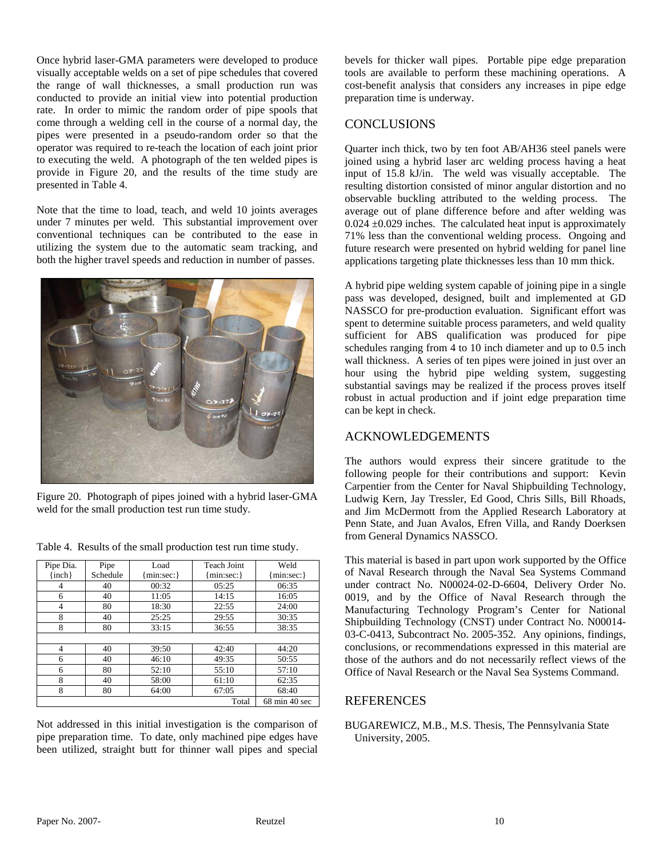Once hybrid laser-GMA parameters were developed to produce visually acceptable welds on a set of pipe schedules that covered the range of wall thicknesses, a small production run was conducted to provide an initial view into potential production rate. In order to mimic the random order of pipe spools that come through a welding cell in the course of a normal day, the pipes were presented in a pseudo-random order so that the operator was required to re-teach the location of each joint prior to executing the weld. A photograph of the ten welded pipes is provide in Figure 20, and the results of the time study are presented in Table 4.

Note that the time to load, teach, and weld 10 joints averages under 7 minutes per weld. This substantial improvement over conventional techniques can be contributed to the ease in utilizing the system due to the automatic seam tracking, and both the higher travel speeds and reduction in number of passes.



Figure 20. Photograph of pipes joined with a hybrid laser-GMA weld for the small production test run time study.

| Pipe Dia.      | Pipe     | Load         | Teach Joint  | Weld                             |
|----------------|----------|--------------|--------------|----------------------------------|
| $\{inch\}$     | Schedule | ${min:sec:}$ | ${min:sec:}$ | ${min:sec:}$                     |
| 4              | 40       | 00:32        | 05:25        | 06:35                            |
| 6              | 40       | 11:05        | 14:15        | 16:05                            |
| 4              | 80       | 18:30        | 22:55        | 24:00                            |
| 8              | 40       | 25:25        | 29:55        | 30:35                            |
| 8              | 80       | 33:15        | 36:55        | 38:35                            |
|                |          |              |              |                                  |
| $\overline{4}$ | 40       | 39:50        | 42:40        | 44:20                            |
| 6              | 40       | 46:10        | 49:35        | 50:55                            |
| 6              | 80       | 52:10        | 55:10        | 57:10                            |
| 8              | 40       | 58:00        | 61:10        | 62:35                            |
| 8              | 80       | 64:00        | 67:05        | 68:40                            |
|                |          |              | Total        | $68 \text{ min } 40 \text{ sec}$ |

Table 4. Results of the small production test run time study.

Not addressed in this initial investigation is the comparison of pipe preparation time. To date, only machined pipe edges have been utilized, straight butt for thinner wall pipes and special

bevels for thicker wall pipes. Portable pipe edge preparation tools are available to perform these machining operations. A cost-benefit analysis that considers any increases in pipe edge preparation time is underway.

#### **CONCLUSIONS**

Quarter inch thick, two by ten foot AB/AH36 steel panels were joined using a hybrid laser arc welding process having a heat input of 15.8 kJ/in. The weld was visually acceptable. The resulting distortion consisted of minor angular distortion and no observable buckling attributed to the welding process. The average out of plane difference before and after welding was  $0.024 \pm 0.029$  inches. The calculated heat input is approximately 71% less than the conventional welding process. Ongoing and future research were presented on hybrid welding for panel line applications targeting plate thicknesses less than 10 mm thick.

A hybrid pipe welding system capable of joining pipe in a single pass was developed, designed, built and implemented at GD NASSCO for pre-production evaluation. Significant effort was spent to determine suitable process parameters, and weld quality sufficient for ABS qualification was produced for pipe schedules ranging from 4 to 10 inch diameter and up to 0.5 inch wall thickness. A series of ten pipes were joined in just over an hour using the hybrid pipe welding system, suggesting substantial savings may be realized if the process proves itself robust in actual production and if joint edge preparation time can be kept in check.

# ACKNOWLEDGEMENTS

The authors would express their sincere gratitude to the following people for their contributions and support: Kevin Carpentier from the Center for Naval Shipbuilding Technology, Ludwig Kern, Jay Tressler, Ed Good, Chris Sills, Bill Rhoads, and Jim McDermott from the Applied Research Laboratory at Penn State, and Juan Avalos, Efren Villa, and Randy Doerksen from General Dynamics NASSCO.

This material is based in part upon work supported by the Office of Naval Research through the Naval Sea Systems Command under contract No. N00024-02-D-6604, Delivery Order No. 0019, and by the Office of Naval Research through the Manufacturing Technology Program's Center for National Shipbuilding Technology (CNST) under Contract No. N00014- 03-C-0413, Subcontract No. 2005-352. Any opinions, findings, conclusions, or recommendations expressed in this material are those of the authors and do not necessarily reflect views of the Office of Naval Research or the Naval Sea Systems Command.

#### REFERENCES

BUGAREWICZ, M.B., M.S. Thesis, The Pennsylvania State University, 2005.